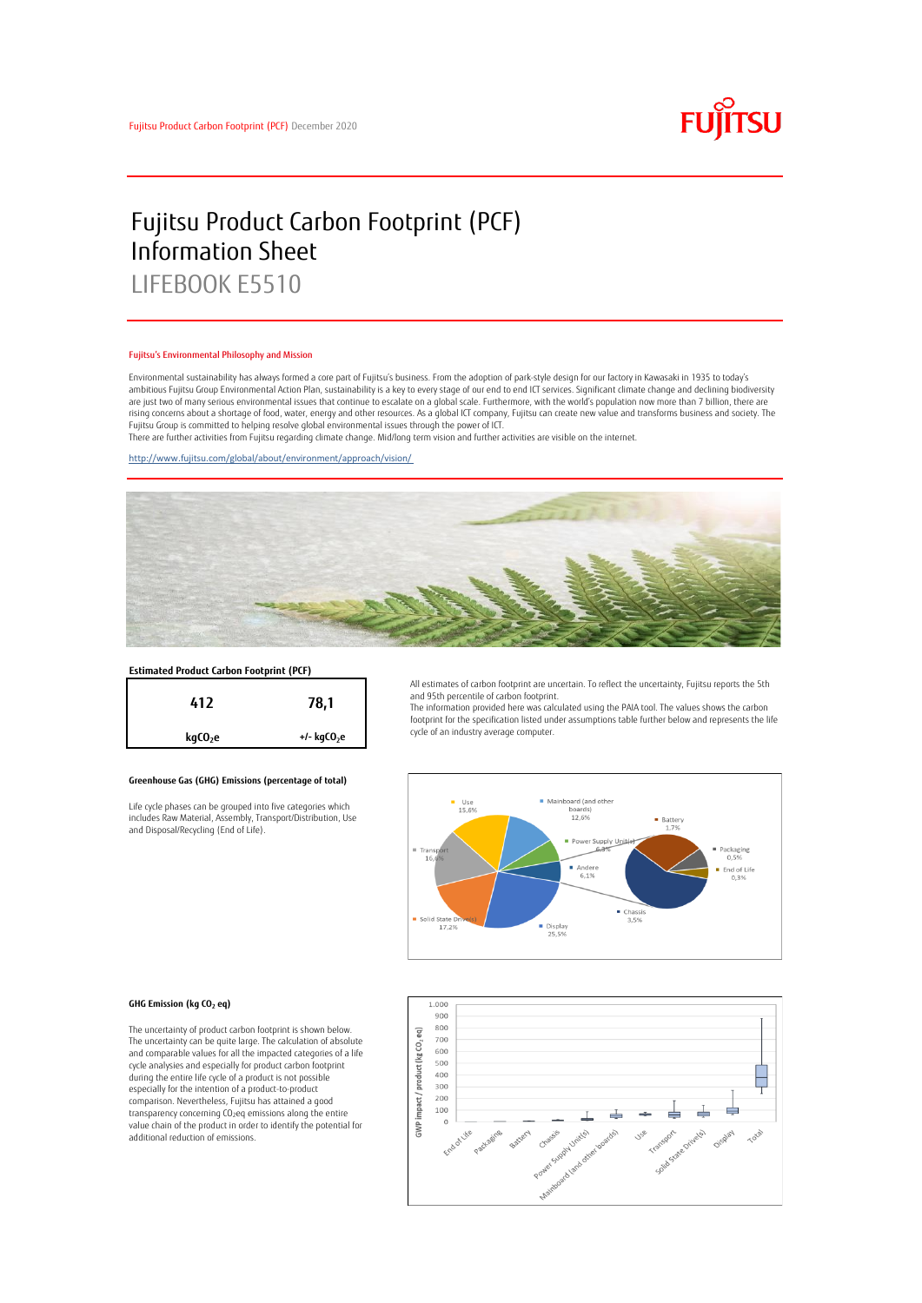

# Fujitsu Product Carbon Footprint (PCF) Information Sheet LIFEBOOK E5510

#### Fujitsu's Environmental Philosophy and Mission

Environmental sustainability has always formed a core part of Fujitsu's business. From the adoption of park-style design for our factory in Kawasaki in 1935 to today's ambitious Fujitsu Group Environmental Action Plan, sustainability is a key to every stage of our end to end ICT services. Significant climate change and declining biodiversity are just two of many serious environmental issues that continue to escalate on a global scale. Furthermore, with the world's population now more than 7 billion, there are<br>rising concerns about a shortage of food, water, en Fujitsu Group is committed to helping resolve global environmental issues through the power of ICT.

There are further activities from Fujitsu regarding climate change. Mid/long term vision and further activities are visible on the internet.

<http://www.fujitsu.com/global/about/environment/approach/vision/>



# **Estimated Product Carbon Footprint (PCF)**



### **Greenhouse Gas (GHG) Emissions (percentage of total)**

Life cycle phases can be grouped into five categories which includes Raw Material, Assembly, Transport/Distribution, Use and Disposal/Recycling (End of Life).

All estimates of carbon footprint are uncertain. To reflect the uncertainty, Fujitsu reports the 5th and 95th percentile of carbon footprint.

The information provided here was calculated using the PAIA tool. The values shows the carbon footprint for the specification listed under assumptions table further below and represents the life cycle of an industry average computer.



#### **GHG Emission (kg CO<sup>2</sup> eq)**

The uncertainty of product carbon footprint is shown below. The uncertainty can be quite large. The calculation of absolute and comparable values for all the impacted categories of a life cycle analysies and especially for product carbon footprint during the entire life cycle of a product is not possible especially for the intention of a product-to-product comparison. Nevertheless, Fujitsu has attained a good transparency concerning CO2eq emissions along the entire value chain of the product in order to identify the potential for additional reduction of emissions.